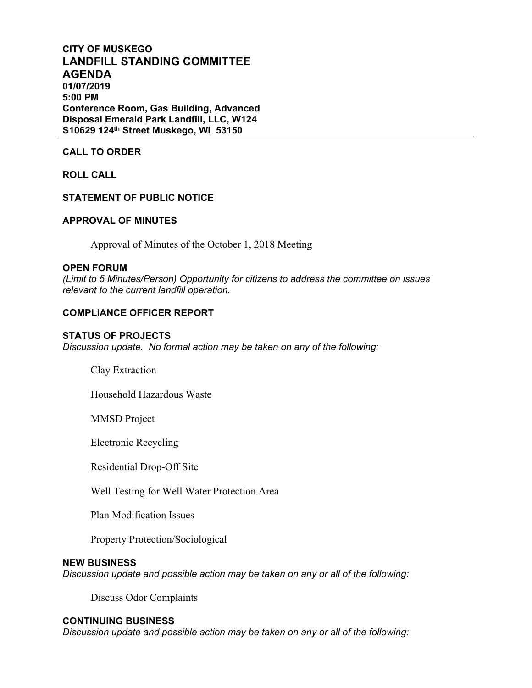# **CITY OF MUSKEGO LANDFILL STANDING COMMITTEE AGENDA 01/07/2019 5:00 PM Conference Room, Gas Building, Advanced Disposal Emerald Park Landfill, LLC, W124 S10629 124th Street Muskego, WI 53150**

## **CALL TO ORDER**

**ROLL CALL**

## **STATEMENT OF PUBLIC NOTICE**

## **APPROVAL OF MINUTES**

Approval of Minutes of the October 1, 2018 Meeting

### **OPEN FORUM**

*(Limit to 5 Minutes/Person) Opportunity for citizens to address the committee on issues relevant to the current landfill operation.*

## **COMPLIANCE OFFICER REPORT**

#### **STATUS OF PROJECTS**

*Discussion update. No formal action may be taken on any of the following:*

Clay Extraction

Household Hazardous Waste

MMSD Project

Electronic Recycling

Residential Drop-Off Site

Well Testing for Well Water Protection Area

Plan Modification Issues

Property Protection/Sociological

### **NEW BUSINESS**

*Discussion update and possible action may be taken on any or all of the following:*

Discuss Odor Complaints

## **CONTINUING BUSINESS**

*Discussion update and possible action may be taken on any or all of the following:*